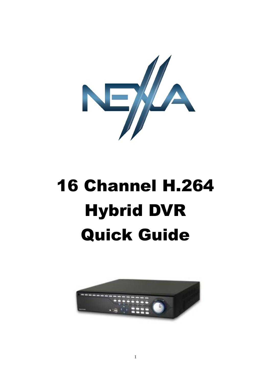

# 16 Channel H.264 Hybrid DVR Quick Guide

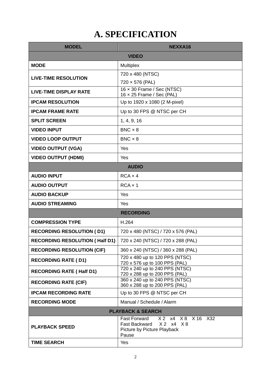# **A. SPECIFICATION**

| <b>MODEL</b>                          | NEXXA16                                                               |  |  |
|---------------------------------------|-----------------------------------------------------------------------|--|--|
|                                       | <b>VIDEO</b>                                                          |  |  |
| <b>MODE</b>                           | Multiplex                                                             |  |  |
| <b>LIVE-TIME RESOLUTION</b>           | 720 x 480 (NTSC)                                                      |  |  |
|                                       | 720 × 576 (PAL)                                                       |  |  |
| <b>LIVE-TIME DISPLAY RATE</b>         | $16 \times 30$ Frame / Sec (NTSC)<br>$16 \times 25$ Frame / Sec (PAL) |  |  |
| <b>IPCAM RESOLUTION</b>               | Up to 1920 x 1080 (2 M-pixel)                                         |  |  |
| <b>IPCAM FRAME RATE</b>               | Up to 30 FPS @ NTSC per CH                                            |  |  |
| <b>SPLIT SCREEN</b>                   | 1, 4, 9, 16                                                           |  |  |
| <b>VIDEO INPUT</b>                    | $BNC \times 8$                                                        |  |  |
| <b>VIDEO LOOP OUTPUT</b>              | $BNC \times 8$                                                        |  |  |
| <b>VIDEO OUTPUT (VGA)</b>             | Yes                                                                   |  |  |
| <b>VIDEO OUTPUT (HDMI)</b>            | Yes                                                                   |  |  |
| <b>AUDIO</b>                          |                                                                       |  |  |
| <b>AUDIO INPUT</b>                    | $RCA \times 4$                                                        |  |  |
| <b>AUDIO OUTPUT</b>                   | $RCA \times 1$                                                        |  |  |
| <b>AUDIO BACKUP</b>                   | Yes                                                                   |  |  |
| <b>AUDIO STREAMING</b>                | Yes                                                                   |  |  |
|                                       | <b>RECORDING</b>                                                      |  |  |
| <b>COMPRESSION TYPE</b>               | H.264                                                                 |  |  |
| <b>RECORDING RESOLUTION (D1)</b>      | 720 x 480 (NTSC) / 720 x 576 (PAL)                                    |  |  |
| <b>RECORDING RESOLUTION (Half D1)</b> | 720 x 240 (NTSC) / 720 x 288 (PAL)                                    |  |  |
| <b>RECORDING RESOLUTION (CIF)</b>     | 360 x 240 (NTSC) / 360 x 288 (PAL)                                    |  |  |
| <b>RECORDING RATE (D1)</b>            | 720 x 480 up to 120 PPS (NTSC)<br>720 x 576 up to 100 PPS (PAL)       |  |  |
| <b>RECORDING RATE (Half D1)</b>       | 720 x 240 up to 240 PPS (NTSC)<br>720 x 288 up to 200 PPS (PAL)       |  |  |
| <b>RECORDING RATE (CIF)</b>           | 360 x 240 up to 240 PPS (NTSC)<br>360 x 288 up to 200 PPS (PAL)       |  |  |
| <b>IPCAM RECORDING RATE</b>           | Up to 30 FPS @ NTSC per CH                                            |  |  |
| <b>RECORDING MODE</b>                 | Manual / Schedule / Alarm                                             |  |  |
|                                       | <b>PLAYBACK &amp; SEARCH</b>                                          |  |  |
|                                       | X 2 x 4 X 8 X 16 X 32<br><b>Fast Forward</b>                          |  |  |
| <b>PLAYBACK SPEED</b>                 | X2 X4 X8<br>Fast Backward<br>Picture by Picture Playback              |  |  |
|                                       | Pause                                                                 |  |  |
| <b>TIME SEARCH</b>                    | Yes                                                                   |  |  |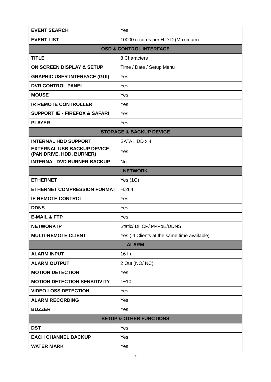| <b>EVENT SEARCH</b>                                           | Yes                                        |  |  |
|---------------------------------------------------------------|--------------------------------------------|--|--|
| <b>EVENT LIST</b>                                             | 10000 records per H.D.D (Maximum)          |  |  |
| <b>OSD &amp; CONTROL INTERFACE</b>                            |                                            |  |  |
| <b>TITLE</b>                                                  | 8 Characters                               |  |  |
| ON SCREEN DISPLAY & SETUP                                     | Time / Date / Setup Menu                   |  |  |
| <b>GRAPHIC USER INTERFACE (GUI)</b>                           | Yes                                        |  |  |
| <b>DVR CONTROL PANEL</b>                                      | Yes                                        |  |  |
| <b>MOUSE</b>                                                  | Yes                                        |  |  |
| <b>IR REMOTE CONTROLLER</b>                                   | Yes                                        |  |  |
| <b>SUPPORT IE · FIREFOX &amp; SAFARI</b>                      | Yes                                        |  |  |
| <b>PLAYER</b>                                                 | Yes                                        |  |  |
| <b>STORAGE &amp; BACKUP DEVICE</b>                            |                                            |  |  |
| <b>INTERNAL HDD SUPPORT</b>                                   | SATA HDD x 4                               |  |  |
| <b>EXTERNAL USB BACKUP DEVICE</b><br>(PAN DRIVE, HDD, BURNER) | Yes                                        |  |  |
| <b>INTERNAL DVD BURNER BACKUP</b>                             | No                                         |  |  |
|                                                               | <b>NETWORK</b>                             |  |  |
| <b>ETHERNET</b>                                               | Yes $(1G)$                                 |  |  |
| <b>ETHERNET COMPRESSION FORMAT</b>                            | H.264                                      |  |  |
| <b>IE REMOTE CONTROL</b>                                      | Yes                                        |  |  |
| <b>DDNS</b>                                                   | Yes                                        |  |  |
| <b>E-MAIL &amp; FTP</b>                                       | Yes                                        |  |  |
| <b>NETWORK IP</b>                                             | Static/DHCP/PPPoE/DDNS                     |  |  |
| <b>MULTI-REMOTE CLIENT</b>                                    | Yes (4 Clients at the same time available) |  |  |
|                                                               | <b>ALARM</b>                               |  |  |
| <b>ALARM INPUT</b>                                            | 16 In                                      |  |  |
| <b>ALARM OUTPUT</b>                                           | 2 Out (NO/NC)                              |  |  |
| <b>MOTION DETECTION</b>                                       | Yes                                        |  |  |
| <b>MOTION DETECTION SENSITIVITY</b>                           | $1 - 10$                                   |  |  |
| <b>VIDEO LOSS DETECTION</b>                                   | Yes                                        |  |  |
| <b>ALARM RECORDING</b>                                        | Yes                                        |  |  |
| <b>BUZZER</b>                                                 | Yes                                        |  |  |
| <b>SETUP &amp; OTHER FUNCTIONS</b>                            |                                            |  |  |
| <b>DST</b>                                                    | Yes                                        |  |  |
| <b>EACH CHANNEL BACKUP</b>                                    | Yes                                        |  |  |
| <b>WATER MARK</b>                                             | Yes                                        |  |  |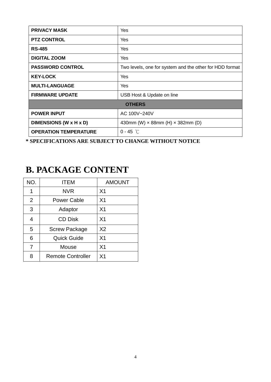| <b>PRIVACY MASK</b>          | Yes                                                     |  |
|------------------------------|---------------------------------------------------------|--|
| <b>PTZ CONTROL</b>           | Yes                                                     |  |
| <b>RS-485</b>                | Yes                                                     |  |
| <b>DIGITAL ZOOM</b>          | Yes                                                     |  |
| <b>PASSWORD CONTROL</b>      | Two levels, one for system and the other for HDD format |  |
| <b>KEY-LOCK</b>              | Yes                                                     |  |
| <b>MULTI-LANGUAGE</b>        | Yes                                                     |  |
| <b>FIRMWARE UPDATE</b>       | USB Host & Update on line                               |  |
| <b>OTHERS</b>                |                                                         |  |
| <b>POWER INPUT</b>           | AC 100V~240V                                            |  |
| DIMENSIONS (W x H x D)       | 430mm (W) $\times$ 88mm (H) $\times$ 382mm (D)          |  |
| <b>OPERATION TEMPERATURE</b> | $0 - 45$ °C                                             |  |

**\* SPECIFICATIONS ARE SUBJECT TO CHANGE WITHOUT NOTICE**

## **B. PACKAGE CONTENT**

| NO. | <b>ITEM</b>              | <b>AMOUNT</b>  |
|-----|--------------------------|----------------|
| 1   | <b>NVR</b>               | X <sub>1</sub> |
| 2   | <b>Power Cable</b>       | X <sub>1</sub> |
| 3   | Adaptor                  | X <sub>1</sub> |
| 4   | <b>CD Disk</b>           | X <sub>1</sub> |
| 5   | <b>Screw Package</b>     | X <sub>2</sub> |
| 6   | <b>Quick Guide</b>       | X <sub>1</sub> |
| 7   | Mouse                    | X <sub>1</sub> |
| R   | <b>Remote Controller</b> | X <sub>1</sub> |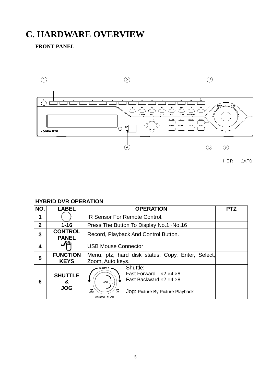# **C. HARDWARE OVERVIEW**

**FRONT PANEL**



**HBR-16AF01** 

#### **HYBRID DVR OPERATION**

| NO.          | <b>LABEL</b>                      | <b>OPERATION</b>                                                                                                                                                          | <b>PTZ</b> |
|--------------|-----------------------------------|---------------------------------------------------------------------------------------------------------------------------------------------------------------------------|------------|
|              |                                   | <b>IR Sensor For Remote Control.</b>                                                                                                                                      |            |
| $\mathbf{2}$ | $1 - 16$                          | Press The Button To Display No.1~No.16                                                                                                                                    |            |
| 3            | <b>CONTROL</b><br><b>PANEL</b>    | Record, Playback And Control Button.                                                                                                                                      |            |
| 4            | ñ                                 | <b>IUSB Mouse Connector</b>                                                                                                                                               |            |
| 5            | <b>FUNCTION</b><br><b>KEYS</b>    | Menu, ptz, hard disk status, Copy, Enter, Select,<br>Zoom, Auto keys.                                                                                                     |            |
| 6            | <b>SHUTTLE</b><br>&<br><b>JOG</b> | Shuttle:<br>SHUTTLE<br>Fast Forward $\times$ 2 $\times$ 4 $\times$ 8<br>Fast Backward x2 x4 x8<br>JOG(<br>Jog: Picture By Picture Playback<br><b>REW</b><br>SHUTTLE - JOC |            |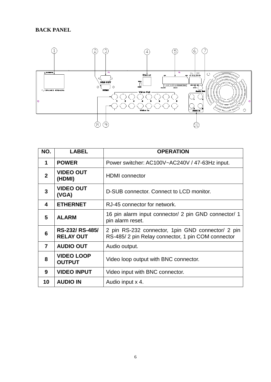#### **BACK PANEL**



| NO.            | <b>LABEL</b>                       | <b>OPERATION</b>                                                                                        |
|----------------|------------------------------------|---------------------------------------------------------------------------------------------------------|
| 1              | <b>POWER</b>                       | Power switcher: AC100V~AC240V / 47-63Hz input.                                                          |
| $\overline{2}$ | <b>VIDEO OUT</b><br>(HDMI)         | <b>HDMI</b> connector                                                                                   |
| 3              | <b>VIDEO OUT</b><br>(VGA)          | D-SUB connector. Connect to LCD monitor.                                                                |
| 4              | <b>ETHERNET</b>                    | RJ-45 connector for network.                                                                            |
| 5              | <b>ALARM</b>                       | 16 pin alarm input connector/ 2 pin GND connector/ 1<br>pin alarm reset.                                |
| 6              | RS-232/RS-485/<br><b>RELAY OUT</b> | 2 pin RS-232 connector, 1 pin GND connector/ 2 pin<br>RS-485/2 pin Relay connector, 1 pin COM connector |
| $\overline{7}$ | <b>AUDIO OUT</b>                   | Audio output.                                                                                           |
| 8              | <b>VIDEO LOOP</b><br><b>OUTPUT</b> | Video loop output with BNC connector.                                                                   |
| 9              | <b>VIDEO INPUT</b>                 | Video input with BNC connector.                                                                         |
| 10             | <b>AUDIO IN</b>                    | Audio input x 4.                                                                                        |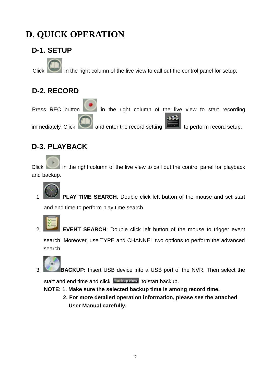# **D. QUICK OPERATION**

## **D-1. SETUP**

in the right column of the live view to call out the control panel for setup.

## **D-2. RECORD**

Press REC button in the right column of the live view to start recording  $immediately. *Click*$  and enter the record setting to perform record setup.

### **D-3. PLAYBACK**

Click in the right column of the live view to call out the control panel for playback and backup.

PLAY TIME SEARCH: Double click left button of the mouse and set start

and end time to perform play time search.



**EVENT SEARCH:** Double click left button of the mouse to trigger event search. Moreover, use TYPE and CHANNEL two options to perform the advanced search.

3. **BACKUP:** Insert USB device into a USB port of the NVR. Then select the

start and end time and click **Backup Kew** to start backup.

**NOTE: 1. Make sure the selected backup time is among record time.** 

**2. For more detailed operation information, please see the attached User Manual carefully.**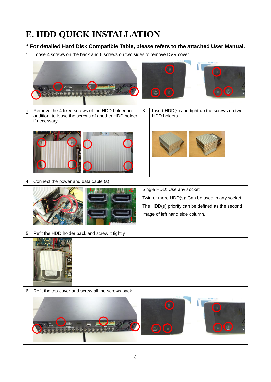# **E. HDD QUICK INSTALLATION**

#### **\* For detailed Hard Disk Compatible Table, please refers to the attached User Manual.**